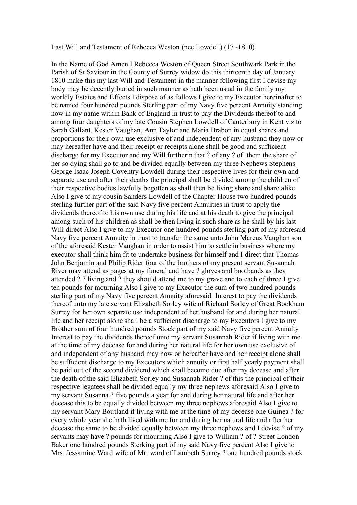## Last Will and Testament of Rebecca Weston (nee Lowdell) (17 -1810)

In the Name of God Amen I Rebecca Weston of Queen Street Southwark Park in the Parish of St Saviour in the County of Surrey widow do this thirteenth day of January 1810 make this my last Will and Testament in the manner following first I devise my body may be decently buried in such manner as hath been usual in the family my worldly Estates and Effects I dispose of as follows I give to my Executor hereinafter to be named four hundred pounds Sterling part of my Navy five percent Annuity standing now in my name within Bank of England in trust to pay the Dividends thereof to and among four daughters of my late Cousin Stephen Lowdell of Canterbury in Kent viz to Sarah Gallant, Kester Vaughan, Ann Taylor and Maria Brabon in equal shares and proportions for their own use exclusive of and independent of any husband they now or may hereafter have and their receipt or receipts alone shall be good and sufficient discharge for my Executor and my Will furtherin that ? of any ? of them the share of her so dying shall go to and be divided equally between my three Nephews Stephens George Isaac Joseph Coventry Lowdell during their respective lives for their own and separate use and after their deaths the principal shall be divided among the children of their respective bodies lawfully begotten as shall then be living share and share alike Also I give to my cousin Sanders Lowdell of the Chapter House two hundred pounds sterling further part of the said Navy five percent Annuities in trust to apply the dividends thereof to his own use during his life and at his death to give the principal among such of his children as shall be then living in such share as he shall by his last Will direct Also I give to my Executor one hundred pounds sterling part of my aforesaid Navy five percent Annuity in trust to transfer the same unto John Marcus Vaughan son of the aforesaid Kester Vaughan in order to assist him to settle in business where my executor shall think him fit to undertake business for himself and I direct that Thomas John Benjamin and Philip Rider four of the brothers of my present servant Susannah River may attend as pages at my funeral and have ? gloves and bootbands as they attended ? ? living and ? they should attend me to my grave and to each of three I give ten pounds for mourning Also I give to my Executor the sum of two hundred pounds sterling part of my Navy five percent Annuity aforesaid Interest to pay the dividends thereof unto my late servant Elizabeth Sorley wife of Richard Sorley of Great Bookham Surrey for her own separate use independent of her husband for and during her natural life and her receipt alone shall be a sufficient discharge to my Executors I give to my Brother sum of four hundred pounds Stock part of my said Navy five percent Annuity Interest to pay the dividends thereof unto my servant Susannah Rider if living with me at the time of my decease for and during her natural life for her own use exclusive of and independent of any husband may now or hereafter have and her receipt alone shall be sufficient discharge to my Executors which annuity or first half yearly payment shall be paid out of the second dividend which shall become due after my decease and after the death of the said Elizabeth Sorley and Susannah Rider ? of this the principal of their respective legatees shall be divided equally my three nephews aforesaid Also I give to my servant Susanna ? five pounds a year for and during her natural life and after her decease this to be equally divided between my three nephews aforesaid Also I give to my servant Mary Boutland if living with me at the time of my decease one Guinea ? for every whole year she hath lived with me for and during her natural life and after her decease the same to be divided equally between my three nephews and I devise ? of my servants may have ? pounds for mourning Also I give to William ? of ? Street London Baker one hundred pounds Sterking part of my said Navy five percent Also I give to Mrs. Jessamine Ward wife of Mr. ward of Lambeth Surrey ? one hundred pounds stock